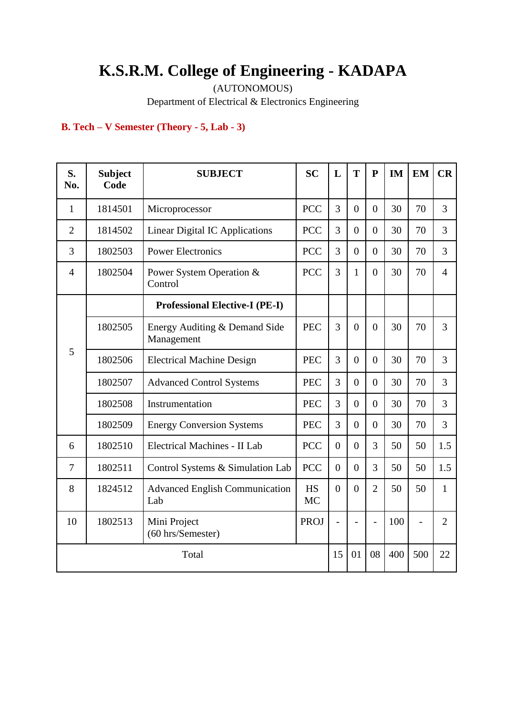# **K.S.R.M. College of Engineering - KADAPA**

(AUTONOMOUS)

Department of Electrical & Electronics Engineering

# **B. Tech – V Semester (Theory - 5, Lab - 3)**

| S.<br>No.      | <b>Subject</b><br>Code | <b>SUBJECT</b>                               | <b>SC</b>              | L              | T                | ${\bf P}$      | IM  | <b>EM</b>      | CR             |
|----------------|------------------------|----------------------------------------------|------------------------|----------------|------------------|----------------|-----|----------------|----------------|
| $\mathbf{1}$   | 1814501                | Microprocessor                               | <b>PCC</b>             | 3              | $\overline{0}$   | $\Omega$       | 30  | 70             | 3              |
| $\overline{2}$ | 1814502                | <b>Linear Digital IC Applications</b>        | <b>PCC</b>             | 3              | $\boldsymbol{0}$ | $\overline{0}$ | 30  | 70             | 3              |
| 3              | 1802503                | <b>Power Electronics</b>                     | <b>PCC</b>             | 3              | $\overline{0}$   | $\overline{0}$ | 30  | 70             | 3              |
| $\overline{4}$ | 1802504                | Power System Operation &<br>Control          | <b>PCC</b>             | 3              | $\mathbf{1}$     | $\theta$       | 30  | 70             | $\overline{4}$ |
|                |                        | <b>Professional Elective-I (PE-I)</b>        |                        |                |                  |                |     |                |                |
|                | 1802505                | Energy Auditing & Demand Side<br>Management  | <b>PEC</b>             | 3              | $\overline{0}$   | $\theta$       | 30  | 70             | 3              |
| 5              | 1802506                | <b>Electrical Machine Design</b>             | <b>PEC</b>             | 3              | $\overline{0}$   | $\theta$       | 30  | 70             | 3              |
|                | 1802507                | <b>Advanced Control Systems</b>              | <b>PEC</b>             | 3              | $\overline{0}$   | $\theta$       | 30  | 70             | 3              |
|                | 1802508                | Instrumentation                              | <b>PEC</b>             | 3              | $\overline{0}$   | $\theta$       | 30  | 70             | 3              |
|                | 1802509                | <b>Energy Conversion Systems</b>             | <b>PEC</b>             | 3              | $\Omega$         | $\Omega$       | 30  | 70             | 3              |
| 6              | 1802510                | Electrical Machines - II Lab                 | <b>PCC</b>             | $\overline{0}$ | $\overline{0}$   | 3              | 50  | 50             | 1.5            |
| $\overline{7}$ | 1802511                | Control Systems & Simulation Lab             | <b>PCC</b>             | $\overline{0}$ | $\Omega$         | 3              | 50  | 50             | 1.5            |
| 8              | 1824512                | <b>Advanced English Communication</b><br>Lab | <b>HS</b><br><b>MC</b> | $\overline{0}$ | $\overline{0}$   | $\overline{2}$ | 50  | 50             | $\mathbf{1}$   |
| 10             | 1802513                | Mini Project<br>(60 hrs/Semester)            | <b>PROJ</b>            | $\overline{a}$ | $\overline{a}$   | $\overline{a}$ | 100 | $\overline{a}$ | $\overline{2}$ |
|                |                        | Total                                        |                        | 15             | 01               | 08             | 400 | 500            | 22             |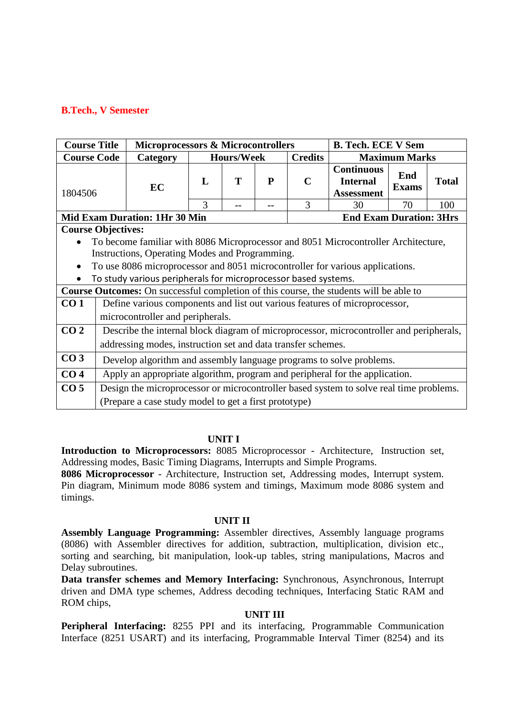## **B.Tech., V Semester**

| <b>Course Title</b>       |                                                                                                                                 | <b>Microprocessors &amp; Microcontrollers</b>                                           |   |                   |   |                | <b>B. Tech. ECE V Sem</b>                                 |                      |              |  |  |  |  |
|---------------------------|---------------------------------------------------------------------------------------------------------------------------------|-----------------------------------------------------------------------------------------|---|-------------------|---|----------------|-----------------------------------------------------------|----------------------|--------------|--|--|--|--|
| <b>Course Code</b>        |                                                                                                                                 | Category                                                                                |   | <b>Hours/Week</b> |   | <b>Credits</b> |                                                           | <b>Maximum Marks</b> |              |  |  |  |  |
| 1804506                   |                                                                                                                                 | EC                                                                                      | L | Т                 | P | C              | <b>Continuous</b><br><b>Internal</b><br><b>Assessment</b> | End<br><b>Exams</b>  | <b>Total</b> |  |  |  |  |
|                           |                                                                                                                                 |                                                                                         | 3 |                   |   | 3              | 30                                                        | 70                   | 100          |  |  |  |  |
|                           |                                                                                                                                 | <b>Mid Exam Duration: 1Hr 30 Min</b>                                                    |   |                   |   |                | <b>End Exam Duration: 3Hrs</b>                            |                      |              |  |  |  |  |
| <b>Course Objectives:</b> |                                                                                                                                 |                                                                                         |   |                   |   |                |                                                           |                      |              |  |  |  |  |
|                           |                                                                                                                                 | To become familiar with 8086 Microprocessor and 8051 Microcontroller Architecture,      |   |                   |   |                |                                                           |                      |              |  |  |  |  |
|                           |                                                                                                                                 |                                                                                         |   |                   |   |                |                                                           |                      |              |  |  |  |  |
|                           | Instructions, Operating Modes and Programming.<br>To use 8086 microprocessor and 8051 microcontroller for various applications. |                                                                                         |   |                   |   |                |                                                           |                      |              |  |  |  |  |
|                           |                                                                                                                                 | To study various peripherals for microprocessor based systems.                          |   |                   |   |                |                                                           |                      |              |  |  |  |  |
|                           |                                                                                                                                 | Course Outcomes: On successful completion of this course, the students will be able to  |   |                   |   |                |                                                           |                      |              |  |  |  |  |
| CO <sub>1</sub>           |                                                                                                                                 | Define various components and list out various features of microprocessor,              |   |                   |   |                |                                                           |                      |              |  |  |  |  |
|                           |                                                                                                                                 | microcontroller and peripherals.                                                        |   |                   |   |                |                                                           |                      |              |  |  |  |  |
| CO <sub>2</sub>           |                                                                                                                                 | Describe the internal block diagram of microprocessor, microcontroller and peripherals, |   |                   |   |                |                                                           |                      |              |  |  |  |  |
|                           |                                                                                                                                 | addressing modes, instruction set and data transfer schemes.                            |   |                   |   |                |                                                           |                      |              |  |  |  |  |
| CO <sub>3</sub>           |                                                                                                                                 | Develop algorithm and assembly language programs to solve problems.                     |   |                   |   |                |                                                           |                      |              |  |  |  |  |
| CO <sub>4</sub>           |                                                                                                                                 | Apply an appropriate algorithm, program and peripheral for the application.             |   |                   |   |                |                                                           |                      |              |  |  |  |  |
| CO <sub>5</sub>           |                                                                                                                                 | Design the microprocessor or microcontroller based system to solve real time problems.  |   |                   |   |                |                                                           |                      |              |  |  |  |  |
|                           |                                                                                                                                 | (Prepare a case study model to get a first prototype)                                   |   |                   |   |                |                                                           |                      |              |  |  |  |  |

#### **UNIT I**

**Introduction to Microprocessors:** 8085 Microprocessor - Architecture, Instruction set, Addressing modes, Basic Timing Diagrams, Interrupts and Simple Programs.

**8086 Microprocessor** - Architecture, Instruction set, Addressing modes, Interrupt system. Pin diagram, Minimum mode 8086 system and timings, Maximum mode 8086 system and timings.

#### **UNIT II**

**Assembly Language Programming:** Assembler directives, Assembly language programs (8086) with Assembler directives for addition, subtraction, multiplication, division etc., sorting and searching, bit manipulation, look-up tables, string manipulations, Macros and Delay subroutines.

**Data transfer schemes and Memory Interfacing:** Synchronous, Asynchronous, Interrupt driven and DMA type schemes, Address decoding techniques, Interfacing Static RAM and ROM chips,

#### **UNIT III**

**Peripheral Interfacing:** 8255 PPI and its interfacing, Programmable Communication Interface (8251 USART) and its interfacing, Programmable Interval Timer (8254) and its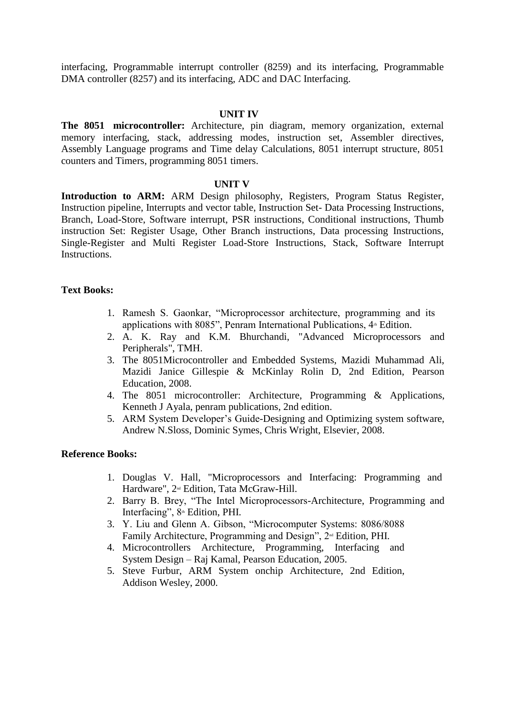interfacing, Programmable interrupt controller (8259) and its interfacing, Programmable DMA controller (8257) and its interfacing, ADC and DAC Interfacing.

#### **UNIT IV**

**The 8051 microcontroller:** Architecture, pin diagram, memory organization, external memory interfacing, stack, addressing modes, instruction set, Assembler directives, Assembly Language programs and Time delay Calculations, 8051 interrupt structure, 8051 counters and Timers, programming 8051 timers.

#### **UNIT V**

**Introduction to ARM:** ARM Design philosophy, Registers, Program Status Register, Instruction pipeline, Interrupts and vector table, Instruction Set- Data Processing Instructions, Branch, Load-Store, Software interrupt, PSR instructions, Conditional instructions, Thumb instruction Set: Register Usage, Other Branch instructions, Data processing Instructions, Single-Register and Multi Register Load-Store Instructions, Stack, Software Interrupt Instructions.

#### **Text Books:**

- 1. Ramesh S. Gaonkar, "Microprocessor architecture, programming and its applications with 8085", Penram International Publications,  $4<sup>th</sup>$  Edition.
- 2. A. K. Ray and K.M. Bhurchandi, "Advanced Microprocessors and Peripherals", TMH.
- 3. The 8051Microcontroller and Embedded Systems, Mazidi Muhammad Ali, Mazidi Janice Gillespie & McKinlay Rolin D, 2nd Edition, Pearson Education, 2008.
- 4. The 8051 microcontroller: Architecture, Programming & Applications, Kenneth J Ayala, penram publications, 2nd edition.
- 5. ARM System Developer's Guide-Designing and Optimizing system software, Andrew N.Sloss, Dominic Symes, Chris Wright, Elsevier, 2008.

#### **Reference Books:**

- 1. Douglas V. Hall, "Microprocessors and Interfacing: Programming and Hardware", 2<sup>nd</sup> Edition, Tata McGraw-Hill.
- 2. Barry B. Brey, "The Intel Microprocessors-Architecture, Programming and Interfacing", 8<sup>th</sup> Edition, PHI.
- 3. Y. Liu and Glenn A. Gibson, "Microcomputer Systems: 8086/8088 Family Architecture, Programming and Design",  $2^{\omega}$  Edition, PHI.
- 4. Microcontrollers Architecture, Programming, Interfacing and System Design – Raj Kamal, Pearson Education, 2005.
- 5. Steve Furbur, ARM System onchip Architecture, 2nd Edition, Addison Wesley, 2000.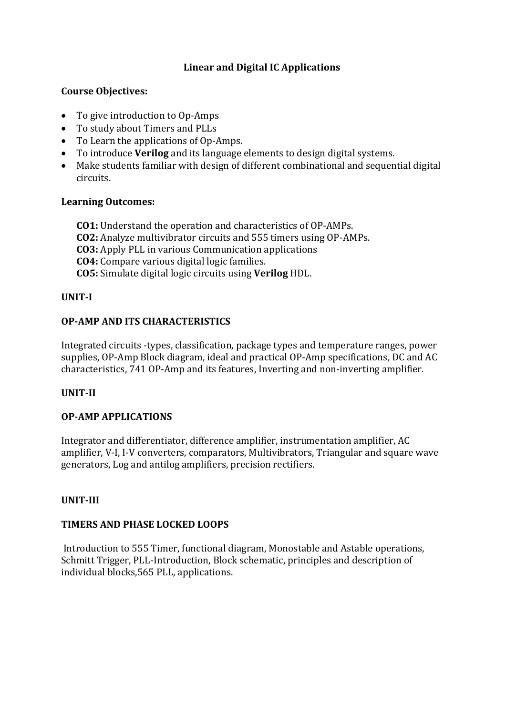# **Linear and Digital IC Applications**

# **Course Objectives:**

- To give introduction to Op-Amps
- To study about Timers and PLLs
- To Learn the applications of Op-Amps.
- To introduce **Verilog** and its language elements to design digital systems.
- Make students familiar with design of different combinational and sequential digital circuits.

# **Learning Outcomes:**

**CO1:** Understand the operation and characteristics of OP-AMPs. **CO2:** Analyze multivibrator circuits and 555 timers using OP-AMPs. **CO3:** Apply PLL in various Communication applications **CO4:** Compare various digital logic families. **CO5:** Simulate digital logic circuits using **Verilog** HDL.

# **UNIT-I**

# **OP-AMP AND ITS CHARACTERISTICS**

Integrated circuits -types, classification, package types and temperature ranges, power supplies, OP-Amp Block diagram, ideal and practical OP-Amp specifications, DC and AC characteristics, 741 OP-Amp and its features, Inverting and non-inverting amplifier.

# **UNIT-II**

# **OP-AMP APPLICATIONS**

Integrator and differentiator, difference amplifier, instrumentation amplifier, AC amplifier, V-I, I-V converters, comparators, Multivibrators, Triangular and square wave generators, Log and antilog amplifiers, precision rectifiers.

# **UNIT-III**

# **TIMERS AND PHASE LOCKED LOOPS**

Introduction to 555 Timer, functional diagram, Monostable and Astable operations, Schmitt Trigger, PLL-Introduction, Block schematic, principles and description of individual blocks,565 PLL, applications.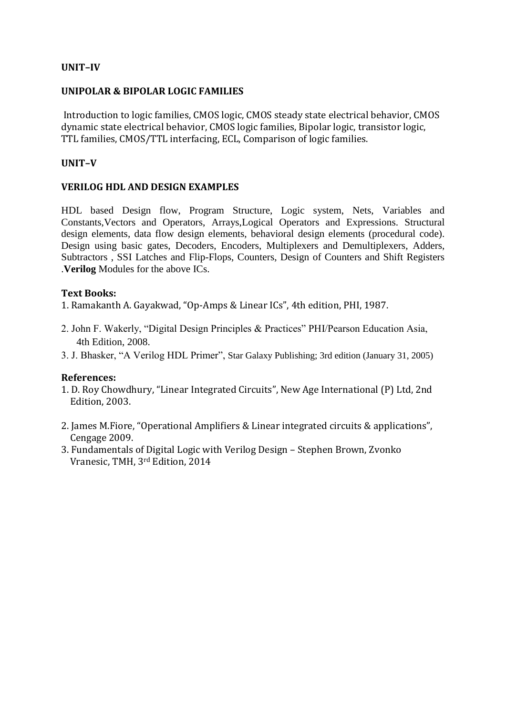# **UNIT–IV**

## **UNIPOLAR & BIPOLAR LOGIC FAMILIES**

Introduction to logic families, CMOS logic, CMOS steady state electrical behavior, CMOS dynamic state electrical behavior, CMOS logic families, Bipolar logic, transistor logic, TTL families, CMOS/TTL interfacing, ECL, Comparison of logic families.

## **UNIT–V**

## **VERILOG HDL AND DESIGN EXAMPLES**

HDL based Design flow, Program Structure, Logic system, Nets, Variables and Constants,Vectors and Operators, Arrays,Logical Operators and Expressions. Structural design elements, data flow design elements, behavioral design elements (procedural code). Design using basic gates, Decoders, Encoders, Multiplexers and Demultiplexers, Adders, Subtractors , SSI Latches and Flip-Flops, Counters, Design of Counters and Shift Registers .**Verilog** Modules for the above ICs.

## **Text Books:**

1. Ramakanth A. Gayakwad, "Op-Amps & Linear ICs", 4th edition, PHI, 1987.

- 2. John F. Wakerly, "Digital Design Principles & Practices" PHI/Pearson Education Asia, 4th Edition, 2008.
- 3. J. Bhasker, "A Verilog HDL Primer", Star Galaxy Publishing; 3rd edition (January 31, 2005)

#### **References:**

- 1. D. Roy Chowdhury, "Linear Integrated Circuits", New Age International (P) Ltd, 2nd Edition, 2003.
- 2. James M.Fiore, "Operational Amplifiers & Linear integrated circuits & applications", Cengage 2009.
- 3. Fundamentals of Digital Logic with Verilog Design Stephen Brown, Zvonko Vranesic, TMH, 3rd Edition, 2014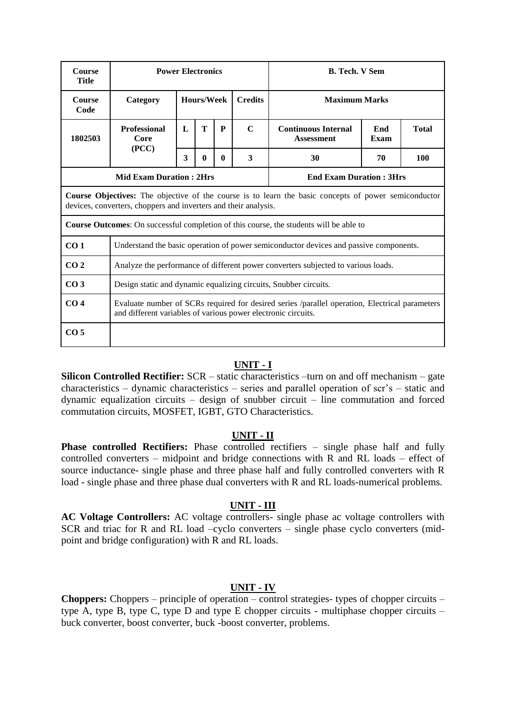| <b>Course</b><br><b>Title</b> | <b>Power Electronics</b>                                         |              |              |                                      |                                                                                                             | <b>B. Tech. V Sem</b>                                                                          |                |  |                      |  |  |  |  |
|-------------------------------|------------------------------------------------------------------|--------------|--------------|--------------------------------------|-------------------------------------------------------------------------------------------------------------|------------------------------------------------------------------------------------------------|----------------|--|----------------------|--|--|--|--|
| <b>Course</b><br>Code         | Category                                                         |              | Hours/Week   |                                      |                                                                                                             |                                                                                                | <b>Credits</b> |  | <b>Maximum Marks</b> |  |  |  |  |
| 1802503                       | <b>Professional</b><br>Core                                      | $\mathbf{L}$ | T            | P                                    | $\mathbf C$                                                                                                 | <b>Continuous Internal</b><br>End<br><b>Total</b><br><b>Assessment</b><br>Exam                 |                |  |                      |  |  |  |  |
|                               | (PCC)                                                            | 3            | $\mathbf{0}$ | 3<br>30<br>70<br>100<br>$\mathbf{0}$ |                                                                                                             |                                                                                                |                |  |                      |  |  |  |  |
|                               | <b>Mid Exam Duration: 2Hrs</b><br><b>End Exam Duration: 3Hrs</b> |              |              |                                      |                                                                                                             |                                                                                                |                |  |                      |  |  |  |  |
|                               | devices, converters, choppers and inverters and their analysis.  |              |              |                                      | <b>Course Objectives:</b> The objective of the course is to learn the basic concepts of power semiconductor |                                                                                                |                |  |                      |  |  |  |  |
|                               |                                                                  |              |              |                                      |                                                                                                             | <b>Course Outcomes:</b> On successful completion of this course, the students will be able to  |                |  |                      |  |  |  |  |
| CO <sub>1</sub>               |                                                                  |              |              |                                      |                                                                                                             | Understand the basic operation of power semiconductor devices and passive components.          |                |  |                      |  |  |  |  |
| CO <sub>2</sub>               |                                                                  |              |              |                                      |                                                                                                             | Analyze the performance of different power converters subjected to various loads.              |                |  |                      |  |  |  |  |
| CO <sub>3</sub>               |                                                                  |              |              |                                      |                                                                                                             | Design static and dynamic equalizing circuits, Snubber circuits.                               |                |  |                      |  |  |  |  |
| CO <sub>4</sub>               | and different variables of various power electronic circuits.    |              |              |                                      |                                                                                                             | Evaluate number of SCRs required for desired series /parallel operation, Electrical parameters |                |  |                      |  |  |  |  |
| CO <sub>5</sub>               |                                                                  |              |              |                                      |                                                                                                             |                                                                                                |                |  |                      |  |  |  |  |

#### **UNIT - I**

**Silicon Controlled Rectifier:** SCR – static characteristics –turn on and off mechanism – gate characteristics – dynamic characteristics – series and parallel operation of scr's – static and dynamic equalization circuits – design of snubber circuit – line commutation and forced commutation circuits, MOSFET, IGBT, GTO Characteristics.

#### **UNIT - II**

**Phase controlled Rectifiers:** Phase controlled rectifiers – single phase half and fully controlled converters – midpoint and bridge connections with R and RL loads – effect of source inductance- single phase and three phase half and fully controlled converters with R load - single phase and three phase dual converters with R and RL loads-numerical problems.

#### **UNIT - III**

**AC Voltage Controllers:** AC voltage controllers- single phase ac voltage controllers with SCR and triac for R and RL load –cyclo converters – single phase cyclo converters (midpoint and bridge configuration) with R and RL loads.

#### **UNIT - IV**

**Choppers:** Choppers – principle of operation – control strategies- types of chopper circuits – type A, type B, type C, type D and type E chopper circuits - multiphase chopper circuits – buck converter, boost converter, buck -boost converter, problems.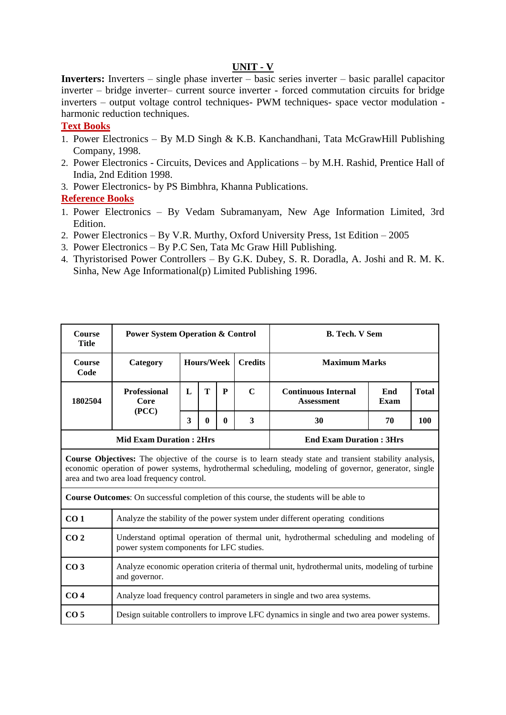## **UNIT - V**

**Inverters:** Inverters – single phase inverter – basic series inverter – basic parallel capacitor inverter – bridge inverter– current source inverter - forced commutation circuits for bridge inverters – output voltage control techniques- PWM techniques- space vector modulation harmonic reduction techniques.

#### **Text Books**

- 1. Power Electronics By M.D Singh & K.B. Kanchandhani, Tata McGrawHill Publishing Company, 1998.
- 2. Power Electronics Circuits, Devices and Applications by M.H. Rashid, Prentice Hall of India, 2nd Edition 1998.
- 3. Power Electronics- by PS Bimbhra, Khanna Publications.

# **Reference Books**

 $\mathbf{r}$ 

- 1. Power Electronics By Vedam Subramanyam, New Age Information Limited, 3rd Edition.
- 2. Power Electronics By V.R. Murthy, Oxford University Press, 1st Edition 2005
- 3. Power Electronics By P.C Sen, Tata Mc Graw Hill Publishing.
- 4. Thyristorised Power Controllers By G.K. Dubey, S. R. Doradla, A. Joshi and R. M. K. Sinha, New Age Informational(p) Limited Publishing 1996.

| <b>Course</b><br><b>Title</b> | <b>Power System Operation &amp; Control</b> |                   |              |                |             |                                                                                                                                                                                                                           | <b>B. Tech. V Sem</b><br><b>Maximum Marks</b> |  |  |  |  |  |  |
|-------------------------------|---------------------------------------------|-------------------|--------------|----------------|-------------|---------------------------------------------------------------------------------------------------------------------------------------------------------------------------------------------------------------------------|-----------------------------------------------|--|--|--|--|--|--|
| <b>Course</b><br>Code         | Category                                    | <b>Hours/Week</b> |              | <b>Credits</b> |             |                                                                                                                                                                                                                           |                                               |  |  |  |  |  |  |
| 1802504                       | <b>Professional</b><br>Core<br>(PCC)        | L                 | T            | P              | $\mathbf C$ | <b>Continuous Internal</b><br><b>Assessment</b>                                                                                                                                                                           | End<br><b>Total</b><br><b>Exam</b>            |  |  |  |  |  |  |
|                               |                                             | 3                 | $\mathbf{0}$ | $\mathbf{0}$   | 3           | 30<br>100<br>70                                                                                                                                                                                                           |                                               |  |  |  |  |  |  |
|                               | <b>Mid Exam Duration: 2Hrs</b>              |                   |              |                |             | <b>End Exam Duration: 3Hrs</b>                                                                                                                                                                                            |                                               |  |  |  |  |  |  |
|                               | area and two area load frequency control.   |                   |              |                |             | <b>Course Objectives:</b> The objective of the course is to learn steady state and transient stability analysis,<br>economic operation of power systems, hydrothermal scheduling, modeling of governor, generator, single |                                               |  |  |  |  |  |  |
|                               |                                             |                   |              |                |             | <b>Course Outcomes:</b> On successful completion of this course, the students will be able to                                                                                                                             |                                               |  |  |  |  |  |  |
| CO <sub>1</sub>               |                                             |                   |              |                |             | Analyze the stability of the power system under different operating conditions                                                                                                                                            |                                               |  |  |  |  |  |  |
| CO <sub>2</sub>               | power system components for LFC studies.    |                   |              |                |             | Understand optimal operation of thermal unit, hydrothermal scheduling and modeling of                                                                                                                                     |                                               |  |  |  |  |  |  |
| CO <sub>3</sub>               | and governor.                               |                   |              |                |             | Analyze economic operation criteria of thermal unit, hydrothermal units, modeling of turbine                                                                                                                              |                                               |  |  |  |  |  |  |
| CO <sub>4</sub>               |                                             |                   |              |                |             | Analyze load frequency control parameters in single and two area systems.                                                                                                                                                 |                                               |  |  |  |  |  |  |
| CO <sub>5</sub>               |                                             |                   |              |                |             | Design suitable controllers to improve LFC dynamics in single and two area power systems.                                                                                                                                 |                                               |  |  |  |  |  |  |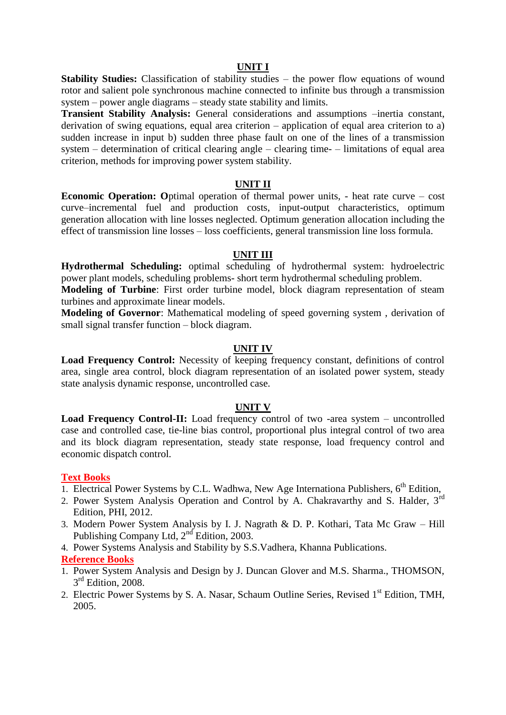#### **UNIT I**

**Stability Studies:** Classification of stability studies – the power flow equations of wound rotor and salient pole synchronous machine connected to infinite bus through a transmission system – power angle diagrams – steady state stability and limits.

**Transient Stability Analysis:** General considerations and assumptions –inertia constant, derivation of swing equations, equal area criterion – application of equal area criterion to a) sudden increase in input b) sudden three phase fault on one of the lines of a transmission system – determination of critical clearing angle – clearing time- – limitations of equal area criterion, methods for improving power system stability.

#### **UNIT II**

**Economic Operation:** Optimal operation of thermal power units, - heat rate curve – cost curve–incremental fuel and production costs, input-output characteristics, optimum generation allocation with line losses neglected. Optimum generation allocation including the effect of transmission line losses – loss coefficients, general transmission line loss formula.

#### **UNIT III**

**Hydrothermal Scheduling:** optimal scheduling of hydrothermal system: hydroelectric power plant models, scheduling problems- short term hydrothermal scheduling problem.

**Modeling of Turbine**: First order turbine model, block diagram representation of steam turbines and approximate linear models.

**Modeling of Governor**: Mathematical modeling of speed governing system , derivation of small signal transfer function – block diagram.

#### **UNIT IV**

**Load Frequency Control:** Necessity of keeping frequency constant, definitions of control area, single area control, block diagram representation of an isolated power system, steady state analysis dynamic response, uncontrolled case.

#### **UNIT V**

**Load Frequency Control-II:** Load frequency control of two -area system – uncontrolled case and controlled case, tie-line bias control, proportional plus integral control of two area and its block diagram representation, steady state response, load frequency control and economic dispatch control.

#### **Text Books**

- 1. Electrical Power Systems by C.L. Wadhwa, New Age Internationa Publishers,  $6<sup>th</sup>$  Edition,
- 2. Power System Analysis Operation and Control by A. Chakravarthy and S. Halder, 3rd Edition, PHI, 2012.
- 3. Modern Power System Analysis by I. J. Nagrath & D. P. Kothari, Tata Mc Graw Hill Publishing Company Ltd, 2<sup>nd</sup> Edition, 2003.
- 4. Power Systems Analysis and Stability by S.S.Vadhera, Khanna Publications.

#### **Reference Books**

- 1. Power System Analysis and Design by J. Duncan Glover and M.S. Sharma., THOMSON, 3<sup>rd</sup> Edition, 2008.
- 2. Electric Power Systems by S. A. Nasar, Schaum Outline Series, Revised 1<sup>st</sup> Edition, TMH, 2005.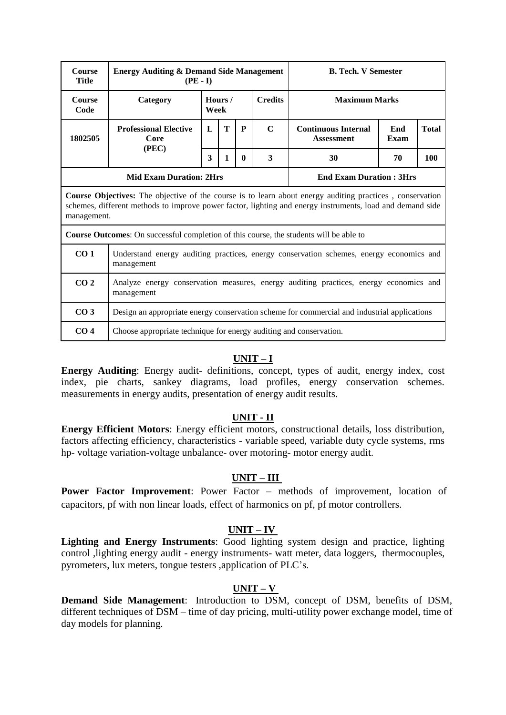|                                                                                                                                  |                                   |                 |                                     |              | <b>B. Tech. V Semester</b>                               |                                                                                               |                                                                                                                                                                                                                                                                                                                                                                                                |  |  |
|----------------------------------------------------------------------------------------------------------------------------------|-----------------------------------|-----------------|-------------------------------------|--------------|----------------------------------------------------------|-----------------------------------------------------------------------------------------------|------------------------------------------------------------------------------------------------------------------------------------------------------------------------------------------------------------------------------------------------------------------------------------------------------------------------------------------------------------------------------------------------|--|--|
| Category                                                                                                                         | Hours /<br><b>Credits</b><br>Week |                 |                                     |              |                                                          |                                                                                               |                                                                                                                                                                                                                                                                                                                                                                                                |  |  |
| T<br>$\mathbf C$<br>P<br><b>Professional Elective</b><br>L<br><b>Continuous Internal</b><br>1802505<br>Core<br><b>Assessment</b> |                                   |                 |                                     |              |                                                          |                                                                                               |                                                                                                                                                                                                                                                                                                                                                                                                |  |  |
|                                                                                                                                  | 30                                | 70              | 100                                 |              |                                                          |                                                                                               |                                                                                                                                                                                                                                                                                                                                                                                                |  |  |
|                                                                                                                                  |                                   |                 |                                     |              |                                                          |                                                                                               |                                                                                                                                                                                                                                                                                                                                                                                                |  |  |
| management.                                                                                                                      |                                   |                 |                                     |              |                                                          |                                                                                               |                                                                                                                                                                                                                                                                                                                                                                                                |  |  |
|                                                                                                                                  |                                   |                 |                                     |              |                                                          |                                                                                               |                                                                                                                                                                                                                                                                                                                                                                                                |  |  |
| CO <sub>1</sub><br>Understand energy auditing practices, energy conservation schemes, energy economics and<br>management         |                                   |                 |                                     |              |                                                          |                                                                                               |                                                                                                                                                                                                                                                                                                                                                                                                |  |  |
| management                                                                                                                       |                                   |                 |                                     |              |                                                          |                                                                                               |                                                                                                                                                                                                                                                                                                                                                                                                |  |  |
|                                                                                                                                  | (PEC)                             | $(PE - I)$<br>3 | 1<br><b>Mid Exam Duration: 2Hrs</b> | $\mathbf{0}$ | <b>Energy Auditing &amp; Demand Side Management</b><br>3 | <b>Course Outcomes:</b> On successful completion of this course, the students will be able to | <b>Maximum Marks</b><br>End<br>Exam<br><b>End Exam Duration: 3Hrs</b><br><b>Course Objectives:</b> The objective of the course is to learn about energy auditing practices, conservation<br>schemes, different methods to improve power factor, lighting and energy instruments, load and demand side<br>Analyze energy conservation measures, energy auditing practices, energy economics and |  |  |

# **UNIT – I**

**CO 4** Choose appropriate technique for energy auditing and conservation.

**CO 3** Design an appropriate energy conservation scheme for commercial and industrial applications

**Energy Auditing**: Energy audit- definitions, concept, types of audit, energy index, cost index, pie charts, sankey diagrams, load profiles, energy conservation schemes. measurements in energy audits, presentation of energy audit results.

#### **UNIT - II**

**Energy Efficient Motors**: Energy efficient motors, constructional details, loss distribution, factors affecting efficiency, characteristics - variable speed, variable duty cycle systems, rms hp- voltage variation-voltage unbalance- over motoring- motor energy audit.

#### **UNIT – III**

**Power Factor Improvement**: Power Factor – methods of improvement, location of capacitors, pf with non linear loads, effect of harmonics on pf, pf motor controllers.

#### **UNIT – IV**

**Lighting and Energy Instruments**: Good lighting system design and practice, lighting control ,lighting energy audit - energy instruments- watt meter, data loggers, thermocouples, pyrometers, lux meters, tongue testers ,application of PLC's.

# **UNIT – V**

**Demand Side Management**: Introduction to DSM, concept of DSM, benefits of DSM, different techniques of DSM – time of day pricing, multi-utility power exchange model, time of day models for planning.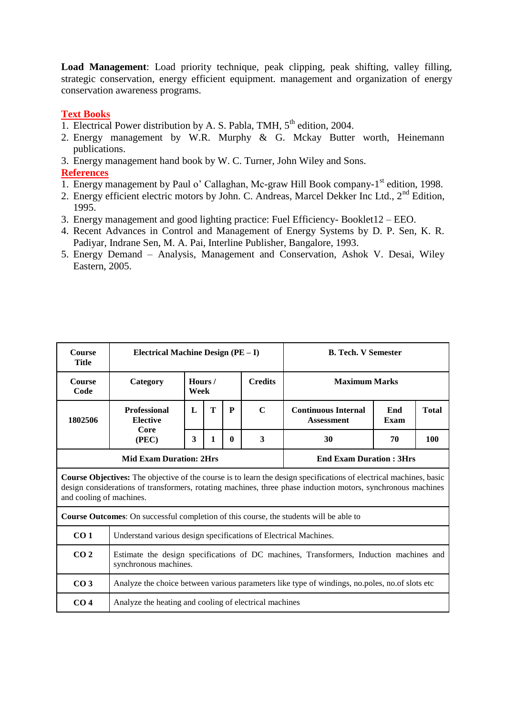**Load Management**: Load priority technique, peak clipping, peak shifting, valley filling, strategic conservation, energy efficient equipment. management and organization of energy conservation awareness programs.

# **Text Books**

- 1. Electrical Power distribution by A. S. Pabla, TMH,  $5<sup>th</sup>$  edition, 2004.
- 2. Energy management by W.R. Murphy & G. Mckay Butter worth, Heinemann publications.
- 3. Energy management hand book by W. C. Turner, John Wiley and Sons.

# **References**

- 1. Energy management by Paul o' Callaghan, Mc-graw Hill Book company-1<sup>st</sup> edition, 1998.
- 2. Energy efficient electric motors by John. C. Andreas, Marcel Dekker Inc Ltd., 2<sup>nd</sup> Edition, 1995.
- 3. Energy management and good lighting practice: Fuel Efficiency- Booklet12 EEO.
- 4. Recent Advances in Control and Management of Energy Systems by D. P. Sen, K. R. Padiyar, Indrane Sen, M. A. Pai, Interline Publisher, Bangalore, 1993.
- 5. Energy Demand Analysis, Management and Conservation, Ashok V. Desai, Wiley Eastern, 2005.

| Course<br><b>Title</b>   | Electrical Machine Design (PE - I)                               |                                                                                                                  |   |                |             | <b>B. Tech. V Semester</b>                                                                                                                                                                                                                |  |  |  |  |  |  |
|--------------------------|------------------------------------------------------------------|------------------------------------------------------------------------------------------------------------------|---|----------------|-------------|-------------------------------------------------------------------------------------------------------------------------------------------------------------------------------------------------------------------------------------------|--|--|--|--|--|--|
| <b>Course</b><br>Code    | Category                                                         | Hours/<br>Week                                                                                                   |   | <b>Credits</b> |             | <b>Maximum Marks</b>                                                                                                                                                                                                                      |  |  |  |  |  |  |
| 1802506                  | <b>Professional</b><br><b>Elective</b>                           | L                                                                                                                | T | P              | $\mathbf C$ | <b>Continuous Internal</b><br><b>Total</b><br>End<br><b>Assessment</b><br>Exam                                                                                                                                                            |  |  |  |  |  |  |
|                          | Core<br>3<br>3<br>100<br>1<br>$\mathbf{0}$<br>30<br>70<br>(PEC)  |                                                                                                                  |   |                |             |                                                                                                                                                                                                                                           |  |  |  |  |  |  |
|                          | <b>Mid Exam Duration: 2Hrs</b><br><b>End Exam Duration: 3Hrs</b> |                                                                                                                  |   |                |             |                                                                                                                                                                                                                                           |  |  |  |  |  |  |
| and cooling of machines. |                                                                  |                                                                                                                  |   |                |             | <b>Course Objectives:</b> The objective of the course is to learn the design specifications of electrical machines, basic<br>design considerations of transformers, rotating machines, three phase induction motors, synchronous machines |  |  |  |  |  |  |
|                          |                                                                  |                                                                                                                  |   |                |             | <b>Course Outcomes:</b> On successful completion of this course, the students will be able to                                                                                                                                             |  |  |  |  |  |  |
| CO <sub>1</sub>          | Understand various design specifications of Electrical Machines. |                                                                                                                  |   |                |             |                                                                                                                                                                                                                                           |  |  |  |  |  |  |
| CO <sub>2</sub>          |                                                                  | Estimate the design specifications of DC machines, Transformers, Induction machines and<br>synchronous machines. |   |                |             |                                                                                                                                                                                                                                           |  |  |  |  |  |  |
| CO <sub>3</sub>          |                                                                  |                                                                                                                  |   |                |             | Analyze the choice between various parameters like type of windings, no.poles, no.of slots etc                                                                                                                                            |  |  |  |  |  |  |
| CO <sub>4</sub>          | Analyze the heating and cooling of electrical machines           |                                                                                                                  |   |                |             |                                                                                                                                                                                                                                           |  |  |  |  |  |  |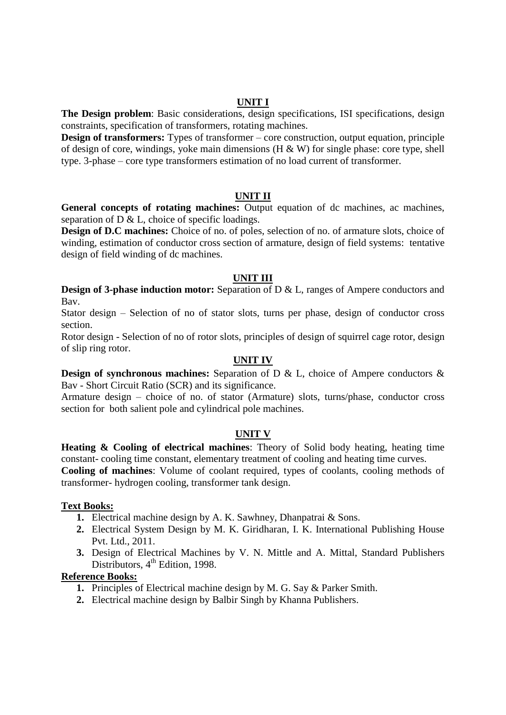**The Design problem**: Basic considerations, design specifications, ISI specifications, design constraints, specification of transformers, rotating machines.

**Design of transformers:** Types of transformer – core construction, output equation, principle of design of core, windings, yoke main dimensions ( $H \& W$ ) for single phase: core type, shell type. 3-phase – core type transformers estimation of no load current of transformer.

#### **UNIT II**

**General concepts of rotating machines:** Output equation of dc machines, ac machines, separation of D & L, choice of specific loadings.

**Design of D.C machines:** Choice of no. of poles, selection of no. of armature slots, choice of winding, estimation of conductor cross section of armature, design of field systems: tentative design of field winding of dc machines.

#### **UNIT III**

**Design of 3-phase induction motor:** Separation of D & L, ranges of Ampere conductors and Bav.

Stator design – Selection of no of stator slots, turns per phase, design of conductor cross section.

Rotor design - Selection of no of rotor slots, principles of design of squirrel cage rotor, design of slip ring rotor.

### **UNIT IV**

**Design of synchronous machines:** Separation of D & L, choice of Ampere conductors & Bav - Short Circuit Ratio (SCR) and its significance.

Armature design – choice of no. of stator (Armature) slots, turns/phase, conductor cross section for both salient pole and cylindrical pole machines.

# **UNIT V**

**Heating & Cooling of electrical machines**: Theory of Solid body heating, heating time constant- cooling time constant, elementary treatment of cooling and heating time curves.

**Cooling of machines**: Volume of coolant required, types of coolants, cooling methods of transformer- hydrogen cooling, transformer tank design.

#### **Text Books:**

- **1.** Electrical machine design by A. K. Sawhney, Dhanpatrai & Sons.
- **2.** Electrical System Design by M. K. Giridharan, I. K. International Publishing House Pvt. Ltd., 2011.
- **3.** Design of Electrical Machines by V. N. Mittle and A. Mittal, Standard Publishers Distributors, 4<sup>th</sup> Edition, 1998.

# **Reference Books:**

- **1.** Principles of Electrical machine design by M. G. Say & Parker Smith.
- **2.** Electrical machine design by Balbir Singh by Khanna Publishers.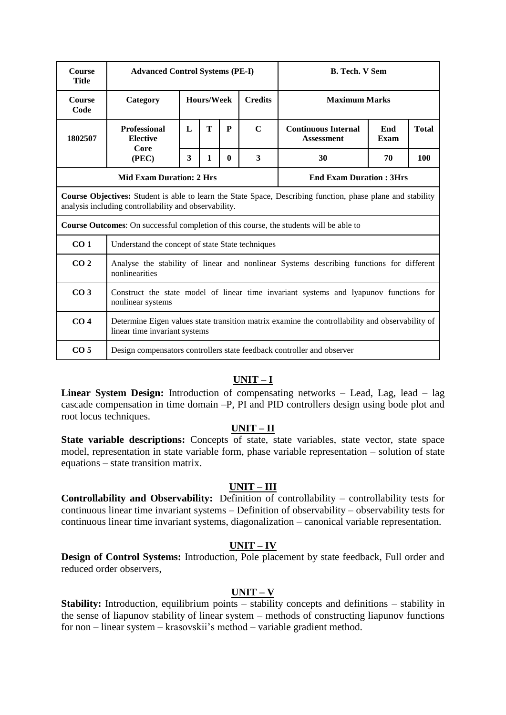| Course<br><b>Title</b> | <b>Advanced Control Systems (PE-I)</b>                                                                                                                           |            |  |                |                      | <b>B. Tech. V Sem</b>                                                                                       |  |  |  |  |  |  |
|------------------------|------------------------------------------------------------------------------------------------------------------------------------------------------------------|------------|--|----------------|----------------------|-------------------------------------------------------------------------------------------------------------|--|--|--|--|--|--|
| <b>Course</b><br>Code  | Category                                                                                                                                                         | Hours/Week |  | <b>Credits</b> | <b>Maximum Marks</b> |                                                                                                             |  |  |  |  |  |  |
| 1802507                | Т<br>$\mathbf C$<br><b>Professional</b><br>P<br><b>Continuous Internal</b><br>$\mathbf{L}$<br>End<br><b>Elective</b><br><b>Exam</b><br><b>Assessment</b><br>Core |            |  |                |                      |                                                                                                             |  |  |  |  |  |  |
|                        | 3<br>3<br>30<br>100<br>(PEC)<br>1<br>70<br>$\mathbf{0}$                                                                                                          |            |  |                |                      |                                                                                                             |  |  |  |  |  |  |
|                        | <b>Mid Exam Duration: 2 Hrs</b><br><b>End Exam Duration: 3Hrs</b>                                                                                                |            |  |                |                      |                                                                                                             |  |  |  |  |  |  |
|                        | analysis including controllability and observability.                                                                                                            |            |  |                |                      | Course Objectives: Student is able to learn the State Space, Describing function, phase plane and stability |  |  |  |  |  |  |
|                        |                                                                                                                                                                  |            |  |                |                      | <b>Course Outcomes:</b> On successful completion of this course, the students will be able to               |  |  |  |  |  |  |
| CO <sub>1</sub>        | Understand the concept of state State techniques                                                                                                                 |            |  |                |                      |                                                                                                             |  |  |  |  |  |  |
| CO <sub>2</sub>        | nonlinearities                                                                                                                                                   |            |  |                |                      | Analyse the stability of linear and nonlinear Systems describing functions for different                    |  |  |  |  |  |  |
| CO <sub>3</sub>        | nonlinear systems                                                                                                                                                |            |  |                |                      | Construct the state model of linear time invariant systems and lyapunov functions for                       |  |  |  |  |  |  |
| CO <sub>4</sub>        | linear time invariant systems                                                                                                                                    |            |  |                |                      | Determine Eigen values state transition matrix examine the controllability and observability of             |  |  |  |  |  |  |
| CO <sub>5</sub>        |                                                                                                                                                                  |            |  |                |                      | Design compensators controllers state feedback controller and observer                                      |  |  |  |  |  |  |

# **UNIT – I**

**Linear System Design:** Introduction of compensating networks – Lead, Lag, lead – lag cascade compensation in time domain –P, PI and PID controllers design using bode plot and root locus techniques.

# **UNIT – II**

State variable descriptions: Concepts of state, state variables, state vector, state space model, representation in state variable form, phase variable representation – solution of state equations – state transition matrix.

# **UNIT – III**

**Controllability and Observability:** Definition of controllability – controllability tests for continuous linear time invariant systems – Definition of observability – observability tests for continuous linear time invariant systems, diagonalization – canonical variable representation.

# **UNIT – IV**

**Design of Control Systems:** Introduction, Pole placement by state feedback, Full order and reduced order observers,

#### **UNIT – V**

**Stability:** Introduction, equilibrium points – stability concepts and definitions – stability in the sense of liapunov stability of linear system – methods of constructing liapunov functions for non – linear system – krasovskii's method – variable gradient method.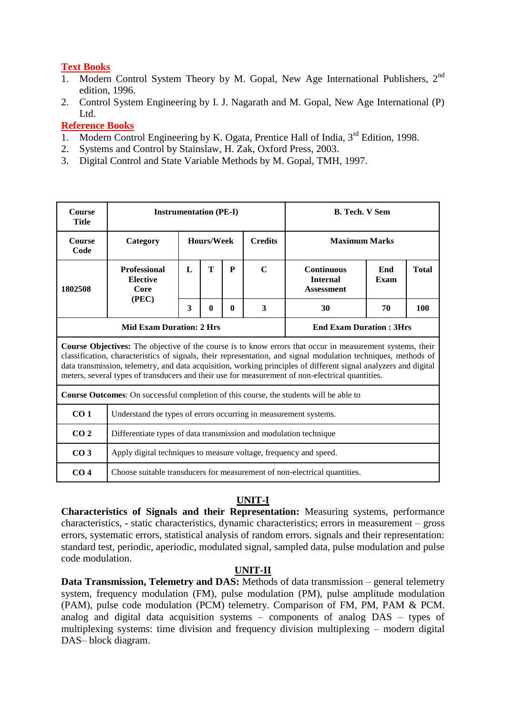# **Text Books**

- 1. Modern Control System Theory by M. Gopal, New Age International Publishers, 2<sup>nd</sup> edition, 1996.
- 2. Control System Engineering by I. J. Nagarath and M. Gopal, New Age International (P) Ltd.

# **Reference Books**

- 1. Modern Control Engineering by K. Ogata, Prentice Hall of India, 3<sup>rd</sup> Edition, 1998.
- 2. Systems and Control by Stainslaw, H. Zak, Oxford Press, 2003.
- 3. Digital Control and State Variable Methods by M. Gopal, TMH, 1997.

| <b>Course</b><br>Title | <b>Instrumentation (PE-I)</b>                                     |                                                                                                         |  |  |  | <b>B. Tech. V Sem</b>                                                                                                                                                                                                                                                                                                                                                                                                                                      |  |                                             |  |  |  |  |
|------------------------|-------------------------------------------------------------------|---------------------------------------------------------------------------------------------------------|--|--|--|------------------------------------------------------------------------------------------------------------------------------------------------------------------------------------------------------------------------------------------------------------------------------------------------------------------------------------------------------------------------------------------------------------------------------------------------------------|--|---------------------------------------------|--|--|--|--|
| <b>Course</b><br>Code  | Category                                                          | <b>Hours/Week</b>                                                                                       |  |  |  | <b>Credits</b>                                                                                                                                                                                                                                                                                                                                                                                                                                             |  | <b>Maximum Marks</b><br>End<br><b>Total</b> |  |  |  |  |
| 1802508                | <b>Professional</b><br><b>Elective</b><br>Core                    | T<br>$\mathbf C$<br>${\bf P}$<br>L<br><b>Continuous</b><br><b>Internal</b><br>Exam<br><b>Assessment</b> |  |  |  |                                                                                                                                                                                                                                                                                                                                                                                                                                                            |  |                                             |  |  |  |  |
|                        |                                                                   | (PEC)<br>3<br>3<br>100<br>$\mathbf{0}$<br>$\mathbf{0}$<br>30<br>70                                      |  |  |  |                                                                                                                                                                                                                                                                                                                                                                                                                                                            |  |                                             |  |  |  |  |
|                        | <b>Mid Exam Duration: 2 Hrs</b><br><b>End Exam Duration: 3Hrs</b> |                                                                                                         |  |  |  |                                                                                                                                                                                                                                                                                                                                                                                                                                                            |  |                                             |  |  |  |  |
|                        |                                                                   |                                                                                                         |  |  |  | <b>Course Objectives:</b> The objective of the course is to know errors that occur in measurement systems, their<br>classification, characteristics of signals, their representation, and signal modulation techniques, methods of<br>data transmission, telemetry, and data acquisition, working principles of different signal analyzers and digital<br>meters, several types of transducers and their use for measurement of non-electrical quantities. |  |                                             |  |  |  |  |
|                        |                                                                   |                                                                                                         |  |  |  | <b>Course Outcomes:</b> On successful completion of this course, the students will be able to                                                                                                                                                                                                                                                                                                                                                              |  |                                             |  |  |  |  |
| CO <sub>1</sub>        | Understand the types of errors occurring in measurement systems.  |                                                                                                         |  |  |  |                                                                                                                                                                                                                                                                                                                                                                                                                                                            |  |                                             |  |  |  |  |
| CO <sub>2</sub>        |                                                                   | Differentiate types of data transmission and modulation technique                                       |  |  |  |                                                                                                                                                                                                                                                                                                                                                                                                                                                            |  |                                             |  |  |  |  |
| CO <sub>3</sub>        | Apply digital techniques to measure voltage, frequency and speed. |                                                                                                         |  |  |  |                                                                                                                                                                                                                                                                                                                                                                                                                                                            |  |                                             |  |  |  |  |
| CO <sub>4</sub>        |                                                                   |                                                                                                         |  |  |  | Choose suitable transducers for measurement of non-electrical quantities.                                                                                                                                                                                                                                                                                                                                                                                  |  |                                             |  |  |  |  |

# **UNIT-I**

**Characteristics of Signals and their Representation:** Measuring systems, performance characteristics, - static characteristics, dynamic characteristics; errors in measurement – gross errors, systematic errors, statistical analysis of random errors. signals and their representation: standard test, periodic, aperiodic, modulated signal, sampled data, pulse modulation and pulse code modulation.

# **UNIT-II**

**Data Transmission, Telemetry and DAS:** Methods of data transmission – general telemetry system, frequency modulation (FM), pulse modulation (PM), pulse amplitude modulation (PAM), pulse code modulation (PCM) telemetry. Comparison of FM, PM, PAM & PCM. analog and digital data acquisition systems – components of analog DAS – types of multiplexing systems: time division and frequency division multiplexing – modern digital DAS– block diagram.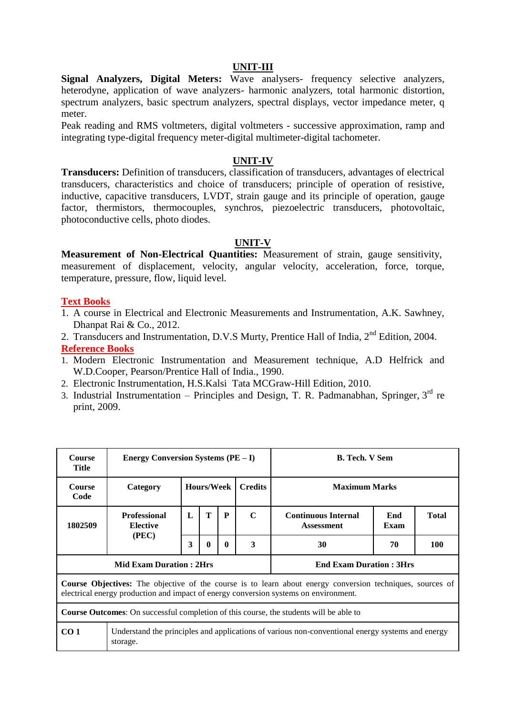#### **UNIT-III**

**Signal Analyzers, Digital Meters:** Wave analysers- frequency selective analyzers, heterodyne, application of wave analyzers- harmonic analyzers, total harmonic distortion, spectrum analyzers, basic spectrum analyzers, spectral displays, vector impedance meter, q meter.

Peak reading and RMS voltmeters, digital voltmeters - successive approximation, ramp and integrating type-digital frequency meter-digital multimeter-digital tachometer.

#### **UNIT-IV**

**Transducers:** Definition of transducers, classification of transducers, advantages of electrical transducers, characteristics and choice of transducers; principle of operation of resistive, inductive, capacitive transducers, LVDT, strain gauge and its principle of operation, gauge factor, thermistors, thermocouples, synchros, piezoelectric transducers, photovoltaic, photoconductive cells, photo diodes.

#### **UNIT-V**

**Measurement of Non-Electrical Quantities:** Measurement of strain, gauge sensitivity, measurement of displacement, velocity, angular velocity, acceleration, force, torque, temperature, pressure, flow, liquid level.

## **Text Books**

- 1. A course in Electrical and Electronic Measurements and Instrumentation, A.K. Sawhney, Dhanpat Rai & Co., 2012.
- 2. Transducers and Instrumentation, D.V.S Murty, Prentice Hall of India, 2<sup>nd</sup> Edition, 2004. **Reference Books**
- 1. Modern Electronic Instrumentation and Measurement technique, A.D Helfrick and W.D.Cooper, Pearson/Prentice Hall of India., 1990.
- 2. Electronic Instrumentation, H.S.Kalsi Tata MCGraw-Hill Edition, 2010.
- 3. Industrial Instrumentation Principles and Design, T. R. Padmanabhan, Springer,  $3<sup>rd</sup>$  re print, 2009.

| <b>Course</b><br><b>Title</b> | <b>Energy Conversion Systems (<math>PE - I</math>)</b>                                        |   |            |              |                | <b>B. Tech. V Sem</b>                                                                                                                                                                                    |             |              |  |  |  |  |
|-------------------------------|-----------------------------------------------------------------------------------------------|---|------------|--------------|----------------|----------------------------------------------------------------------------------------------------------------------------------------------------------------------------------------------------------|-------------|--------------|--|--|--|--|
| <b>Course</b><br>Code         | Category                                                                                      |   | Hours/Week |              | <b>Credits</b> | <b>Maximum Marks</b>                                                                                                                                                                                     |             |              |  |  |  |  |
| 1802509                       | <b>Professional</b><br><b>Elective</b>                                                        | L | T          | P            | $\mathbf C$    | <b>Continuous Internal</b><br><b>Assessment</b>                                                                                                                                                          | End<br>Exam | <b>Total</b> |  |  |  |  |
|                               | (PEC)                                                                                         | 3 | 0          | $\mathbf{0}$ | 3              | 30                                                                                                                                                                                                       | 70<br>100   |              |  |  |  |  |
|                               | <b>Mid Exam Duration: 2Hrs</b>                                                                |   |            |              |                | <b>End Exam Duration: 3Hrs</b>                                                                                                                                                                           |             |              |  |  |  |  |
|                               |                                                                                               |   |            |              |                | <b>Course Objectives:</b> The objective of the course is to learn about energy conversion techniques, sources of<br>electrical energy production and impact of energy conversion systems on environment. |             |              |  |  |  |  |
|                               | <b>Course Outcomes:</b> On successful completion of this course, the students will be able to |   |            |              |                |                                                                                                                                                                                                          |             |              |  |  |  |  |
| CO <sub>1</sub>               | storage.                                                                                      |   |            |              |                | Understand the principles and applications of various non-conventional energy systems and energy                                                                                                         |             |              |  |  |  |  |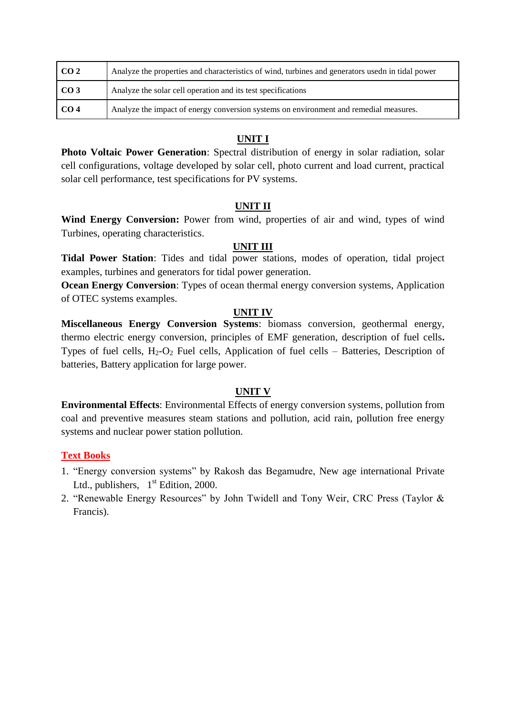| CO <sub>2</sub> | Analyze the properties and characteristics of wind, turbines and generators usedn in tidal power |
|-----------------|--------------------------------------------------------------------------------------------------|
| CO <sub>3</sub> | Analyze the solar cell operation and its test specifications                                     |
| CO <sub>4</sub> | Analyze the impact of energy conversion systems on environment and remedial measures.            |

# **UNIT I**

**Photo Voltaic Power Generation**: Spectral distribution of energy in solar radiation, solar cell configurations, voltage developed by solar cell, photo current and load current, practical solar cell performance, test specifications for PV systems.

# **UNIT II**

**Wind Energy Conversion:** Power from wind, properties of air and wind, types of wind Turbines, operating characteristics.

# **UNIT III**

**Tidal Power Station**: Tides and tidal power stations, modes of operation, tidal project examples, turbines and generators for tidal power generation.

**Ocean Energy Conversion**: Types of ocean thermal energy conversion systems, Application of OTEC systems examples.

# **UNIT IV**

**Miscellaneous Energy Conversion Systems**: biomass conversion, geothermal energy, thermo electric energy conversion, principles of EMF generation, description of fuel cells**.**  Types of fuel cells,  $H_2-O_2$  Fuel cells, Application of fuel cells – Batteries, Description of batteries, Battery application for large power.

# **UNIT V**

**Environmental Effects**: Environmental Effects of energy conversion systems, pollution from coal and preventive measures steam stations and pollution, acid rain, pollution free energy systems and nuclear power station pollution.

# **Text Books**

- 1. "Energy conversion systems" by Rakosh das Begamudre, New age international Private Ltd., publishers,  $1<sup>st</sup>$  Edition, 2000.
- 2. "Renewable Energy Resources" by John Twidell and Tony Weir, CRC Press (Taylor & Francis).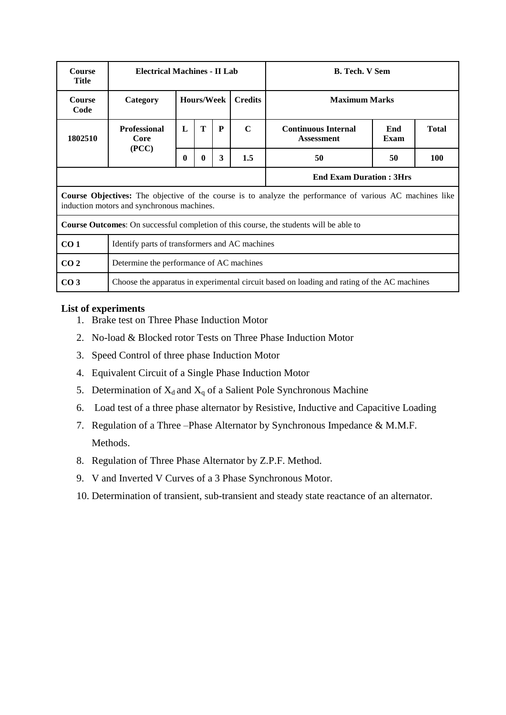| <b>Course</b><br>Title | <b>Electrical Machines - II Lab</b>            |                                                         |   |   |                | <b>B.</b> Tech. V Sem                                                                                           |             |              |  |  |  |
|------------------------|------------------------------------------------|---------------------------------------------------------|---|---|----------------|-----------------------------------------------------------------------------------------------------------------|-------------|--------------|--|--|--|
| <b>Course</b><br>Code  | Category                                       | <b>Hours/Week</b>                                       |   |   | <b>Credits</b> | <b>Maximum Marks</b>                                                                                            |             |              |  |  |  |
| 1802510                | <b>Professional</b><br>Core                    | $\mathbf{L}$                                            | T | P | $\mathbf C$    | <b>Continuous Internal</b><br><b>Assessment</b>                                                                 | End<br>Exam | <b>Total</b> |  |  |  |
|                        | (PCC)                                          | 3<br>1.5<br><b>100</b><br>50<br>50<br>$\mathbf{0}$<br>0 |   |   |                |                                                                                                                 |             |              |  |  |  |
|                        |                                                |                                                         |   |   |                | <b>End Exam Duration: 3Hrs</b>                                                                                  |             |              |  |  |  |
|                        | induction motors and synchronous machines.     |                                                         |   |   |                | <b>Course Objectives:</b> The objective of the course is to analyze the performance of various AC machines like |             |              |  |  |  |
|                        |                                                |                                                         |   |   |                | <b>Course Outcomes:</b> On successful completion of this course, the students will be able to                   |             |              |  |  |  |
| CO <sub>1</sub>        | Identify parts of transformers and AC machines |                                                         |   |   |                |                                                                                                                 |             |              |  |  |  |
| CO <sub>2</sub>        | Determine the performance of AC machines       |                                                         |   |   |                |                                                                                                                 |             |              |  |  |  |
| CO <sub>3</sub>        |                                                |                                                         |   |   |                | Choose the apparatus in experimental circuit based on loading and rating of the AC machines                     |             |              |  |  |  |

## **List of experiments**

- 1. Brake test on Three Phase Induction Motor
- 2. No-load & Blocked rotor Tests on Three Phase Induction Motor
- 3. Speed Control of three phase Induction Motor
- 4. Equivalent Circuit of a Single Phase Induction Motor
- 5. Determination of  $X_d$  and  $X_q$  of a Salient Pole Synchronous Machine
- 6. Load test of a three phase alternator by Resistive, Inductive and Capacitive Loading
- 7. Regulation of a Three –Phase Alternator by Synchronous Impedance & M.M.F. Methods.
- 8. Regulation of Three Phase Alternator by Z.P.F. Method.
- 9. V and Inverted V Curves of a 3 Phase Synchronous Motor.
- 10. Determination of transient, sub-transient and steady state reactance of an alternator.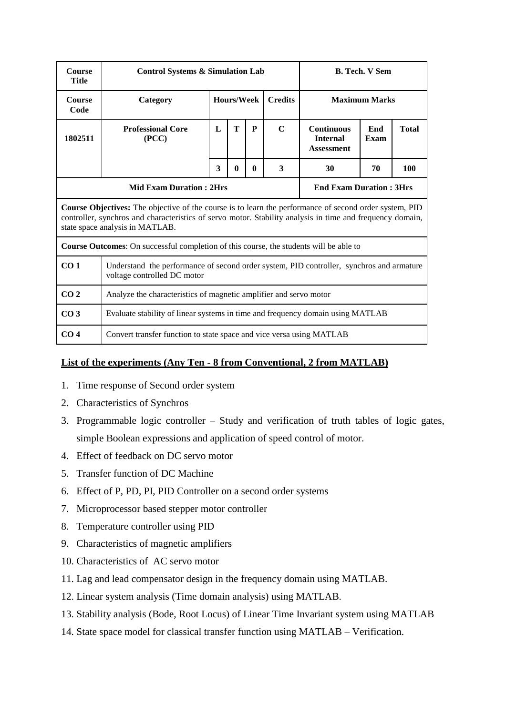| <b>Course</b><br><b>Title</b> | <b>Control Systems &amp; Simulation Lab</b>                                                                                                                                                                                                                   |                                                                                                                        |  |  |  |  | <b>B. Tech. V Sem</b> |  |  |  |  |  |
|-------------------------------|---------------------------------------------------------------------------------------------------------------------------------------------------------------------------------------------------------------------------------------------------------------|------------------------------------------------------------------------------------------------------------------------|--|--|--|--|-----------------------|--|--|--|--|--|
| <b>Course</b><br>Code         | Category                                                                                                                                                                                                                                                      | <b>Hours/Week</b><br><b>Credits</b><br><b>Maximum Marks</b>                                                            |  |  |  |  |                       |  |  |  |  |  |
| 1802511                       | <b>Professional Core</b><br>(PCC)                                                                                                                                                                                                                             | T<br>$\mathbf C$<br><b>Continuous</b><br>L<br>P<br><b>Total</b><br>End<br><b>Internal</b><br>Exam<br><b>Assessment</b> |  |  |  |  |                       |  |  |  |  |  |
|                               |                                                                                                                                                                                                                                                               | 3<br>3<br>100<br>$\bf{0}$<br>30<br>70<br>$\mathbf{0}$                                                                  |  |  |  |  |                       |  |  |  |  |  |
|                               | <b>Mid Exam Duration: 2Hrs</b><br><b>End Exam Duration: 3Hrs</b>                                                                                                                                                                                              |                                                                                                                        |  |  |  |  |                       |  |  |  |  |  |
|                               | <b>Course Objectives:</b> The objective of the course is to learn the performance of second order system, PID<br>controller, synchros and characteristics of servo motor. Stability analysis in time and frequency domain,<br>state space analysis in MATLAB. |                                                                                                                        |  |  |  |  |                       |  |  |  |  |  |
|                               | <b>Course Outcomes:</b> On successful completion of this course, the students will be able to                                                                                                                                                                 |                                                                                                                        |  |  |  |  |                       |  |  |  |  |  |
| CO <sub>1</sub>               | Understand the performance of second order system, PID controller, synchros and armature<br>voltage controlled DC motor                                                                                                                                       |                                                                                                                        |  |  |  |  |                       |  |  |  |  |  |
| CO <sub>2</sub>               | Analyze the characteristics of magnetic amplifier and servo motor                                                                                                                                                                                             |                                                                                                                        |  |  |  |  |                       |  |  |  |  |  |
| CO <sub>3</sub>               | Evaluate stability of linear systems in time and frequency domain using MATLAB                                                                                                                                                                                |                                                                                                                        |  |  |  |  |                       |  |  |  |  |  |
| CO <sub>4</sub>               | Convert transfer function to state space and vice versa using MATLAB                                                                                                                                                                                          |                                                                                                                        |  |  |  |  |                       |  |  |  |  |  |

# **List of the experiments (Any Ten - 8 from Conventional, 2 from MATLAB)**

- 1. Time response of Second order system
- 2. Characteristics of Synchros
- 3. Programmable logic controller Study and verification of truth tables of logic gates, simple Boolean expressions and application of speed control of motor.
- 4. Effect of feedback on DC servo motor
- 5. Transfer function of DC Machine
- 6. Effect of P, PD, PI, PID Controller on a second order systems
- 7. Microprocessor based stepper motor controller
- 8. Temperature controller using PID
- 9. Characteristics of magnetic amplifiers
- 10. Characteristics of AC servo motor
- 11. Lag and lead compensator design in the frequency domain using MATLAB.
- 12. Linear system analysis (Time domain analysis) using MATLAB.
- 13. Stability analysis (Bode, Root Locus) of Linear Time Invariant system using MATLAB
- 14. State space model for classical transfer function using MATLAB Verification.